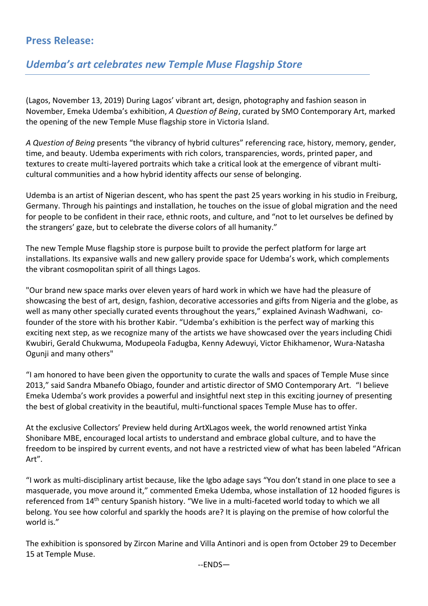## **Press Release:**

## *Udemba's art celebrates new Temple Muse Flagship Store*

(Lagos, November 13, 2019) During Lagos' vibrant art, design, photography and fashion season in November, Emeka Udemba's exhibition, *A Question of Being*, curated by SMO Contemporary Art, marked the opening of the new Temple Muse flagship store in Victoria Island.

*A Question of Being* presents "the vibrancy of hybrid cultures" referencing race, history, memory, gender, time, and beauty. Udemba experiments with rich colors, transparencies, words, printed paper, and textures to create multi-layered portraits which take a critical look at the emergence of vibrant multicultural communities and a how hybrid identity affects our sense of belonging.

Udemba is an artist of Nigerian descent, who has spent the past 25 years working in his studio in Freiburg, Germany. Through his paintings and installation, he touches on the issue of global migration and the need for people to be confident in their race, ethnic roots, and culture, and "not to let ourselves be defined by the strangers' gaze, but to celebrate the diverse colors of all humanity."

The new Temple Muse flagship store is purpose built to provide the perfect platform for large art installations. Its expansive walls and new gallery provide space for Udemba's work, which complements the vibrant cosmopolitan spirit of all things Lagos.

"Our brand new space marks over eleven years of hard work in which we have had the pleasure of showcasing the best of art, design, fashion, decorative accessories and gifts from Nigeria and the globe, as well as many other specially curated events throughout the years," explained Avinash Wadhwani, cofounder of the store with his brother Kabir. "Udemba's exhibition is the perfect way of marking this exciting next step, as we recognize many of the artists we have showcased over the years including Chidi Kwubiri, Gerald Chukwuma, Modupeola Fadugba, Kenny Adewuyi, Victor Ehikhamenor, Wura-Natasha Ogunji and many others"

"I am honored to have been given the opportunity to curate the walls and spaces of Temple Muse since 2013," said Sandra Mbanefo Obiago, founder and artistic director of SMO Contemporary Art. "I believe Emeka Udemba's work provides a powerful and insightful next step in this exciting journey of presenting the best of global creativity in the beautiful, multi-functional spaces Temple Muse has to offer.

At the exclusive Collectors' Preview held during ArtXLagos week, the world renowned artist Yinka Shonibare MBE, encouraged local artists to understand and embrace global culture, and to have the freedom to be inspired by current events, and not have a restricted view of what has been labeled "African Art".

"I work as multi-disciplinary artist because, like the Igbo adage says "You don't stand in one place to see a masquerade, you move around it," commented Emeka Udemba, whose installation of 12 hooded figures is referenced from 14th century Spanish history. "We live in a multi-faceted world today to which we all belong. You see how colorful and sparkly the hoods are? It is playing on the premise of how colorful the world is."

The exhibition is sponsored by Zircon Marine and Villa Antinori and is open from October 29 to December 15 at Temple Muse.